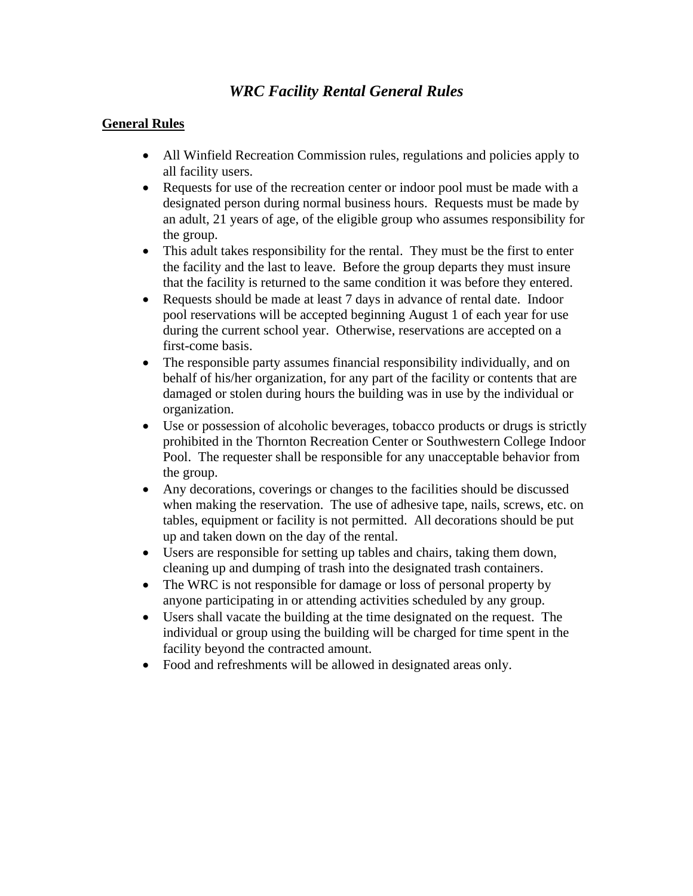## *WRC Facility Rental General Rules*

## **General Rules**

- All Winfield Recreation Commission rules, regulations and policies apply to all facility users.
- Requests for use of the recreation center or indoor pool must be made with a designated person during normal business hours. Requests must be made by an adult, 21 years of age, of the eligible group who assumes responsibility for the group.
- This adult takes responsibility for the rental. They must be the first to enter the facility and the last to leave. Before the group departs they must insure that the facility is returned to the same condition it was before they entered.
- Requests should be made at least 7 days in advance of rental date. Indoor pool reservations will be accepted beginning August 1 of each year for use during the current school year. Otherwise, reservations are accepted on a first-come basis.
- The responsible party assumes financial responsibility individually, and on behalf of his/her organization, for any part of the facility or contents that are damaged or stolen during hours the building was in use by the individual or organization.
- Use or possession of alcoholic beverages, tobacco products or drugs is strictly prohibited in the Thornton Recreation Center or Southwestern College Indoor Pool. The requester shall be responsible for any unacceptable behavior from the group.
- Any decorations, coverings or changes to the facilities should be discussed when making the reservation. The use of adhesive tape, nails, screws, etc. on tables, equipment or facility is not permitted. All decorations should be put up and taken down on the day of the rental.
- Users are responsible for setting up tables and chairs, taking them down, cleaning up and dumping of trash into the designated trash containers.
- The WRC is not responsible for damage or loss of personal property by anyone participating in or attending activities scheduled by any group.
- Users shall vacate the building at the time designated on the request. The individual or group using the building will be charged for time spent in the facility beyond the contracted amount.
- Food and refreshments will be allowed in designated areas only.